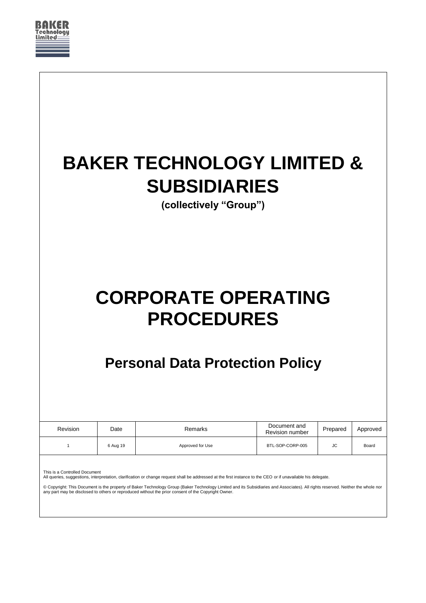

| Remarks          | Document and     | Prepared                                    | Approved                                                             |
|------------------|------------------|---------------------------------------------|----------------------------------------------------------------------|
| Approved for Use | BTL-SOP-CORP-005 | JС                                          | Board                                                                |
|                  | 6 Aug 19         | <b>PROCEDURES</b><br><b>Revision number</b> | <b>CORPORATE OPERATING</b><br><b>Personal Data Protection Policy</b> |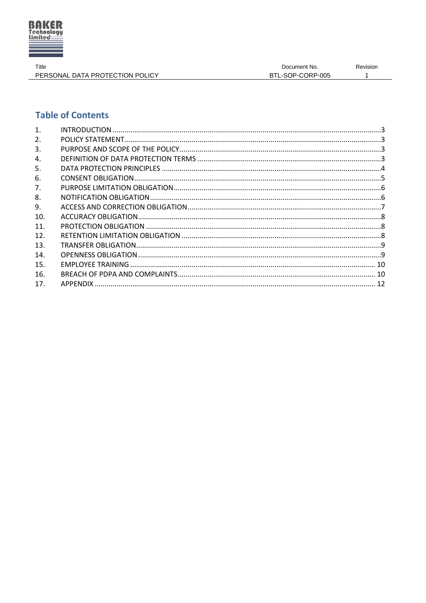

Title PERSONAL DATA PROTECTION POLICY

# **Table of Contents**

| 1.  |  |
|-----|--|
| 2.  |  |
| 3.  |  |
| 4.  |  |
| 5.  |  |
| 6.  |  |
| 7.  |  |
| 8.  |  |
| 9.  |  |
| 10. |  |
| 11. |  |
| 12. |  |
| 13. |  |
| 14. |  |
| 15. |  |
| 16. |  |
| 17. |  |
|     |  |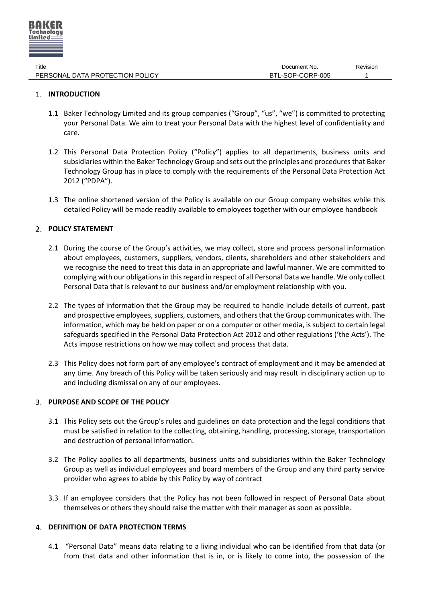

# <span id="page-2-0"></span>**1. INTRODUCTION**

- 1.1 Baker Technology Limited and its group companies ("Group", "us", "we") is committed to protecting your Personal Data. We aim to treat your Personal Data with the highest level of confidentiality and care.
- 1.2 This Personal Data Protection Policy ("Policy") applies to all departments, business units and subsidiaries within the Baker Technology Group and sets out the principles and procedures that Baker Technology Group has in place to comply with the requirements of the Personal Data Protection Act 2012 ("PDPA").
- 1.3 The online shortened version of the Policy is available on our Group company websites while this detailed Policy will be made readily available to employees together with our employee handbook

# <span id="page-2-1"></span>**POLICY STATEMENT**

- 2.1 During the course of the Group's activities, we may collect, store and process personal information about employees, customers, suppliers, vendors, clients, shareholders and other stakeholders and we recognise the need to treat this data in an appropriate and lawful manner. We are committed to complying with our obligations in this regard in respect of all Personal Data we handle. We only collect Personal Data that is relevant to our business and/or employment relationship with you.
- 2.2 The types of information that the Group may be required to handle include details of current, past and prospective employees, suppliers, customers, and others that the Group communicates with. The information, which may be held on paper or on a computer or other media, is subject to certain legal safeguards specified in the Personal Data Protection Act 2012 and other regulations ('the Acts'). The Acts impose restrictions on how we may collect and process that data.
- 2.3 This Policy does not form part of any employee's contract of employment and it may be amended at any time. Any breach of this Policy will be taken seriously and may result in disciplinary action up to and including dismissal on any of our employees.

# <span id="page-2-2"></span>**PURPOSE AND SCOPE OF THE POLICY**

- 3.1 This Policy sets out the Group's rules and guidelines on data protection and the legal conditions that must be satisfied in relation to the collecting, obtaining, handling, processing, storage, transportation and destruction of personal information.
- 3.2 The Policy applies to all departments, business units and subsidiaries within the Baker Technology Group as well as individual employees and board members of the Group and any third party service provider who agrees to abide by this Policy by way of contract
- 3.3 If an employee considers that the Policy has not been followed in respect of Personal Data about themselves or others they should raise the matter with their manager as soon as possible.

# <span id="page-2-3"></span>**DEFINITION OF DATA PROTECTION TERMS**

4.1 "Personal Data" means data relating to a living individual who can be identified from that data (or from that data and other information that is in, or is likely to come into, the possession of the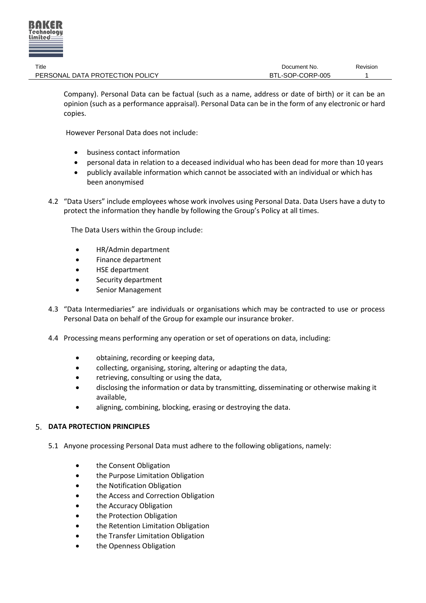

Company). Personal Data can be factual (such as a name, address or date of birth) or it can be an opinion (such as a performance appraisal). Personal Data can be in the form of any electronic or hard copies.

However Personal Data does not include:

- business contact information
- personal data in relation to a deceased individual who has been dead for more than 10 years
- publicly available information which cannot be associated with an individual or which has been anonymised
- 4.2 "Data Users" include employees whose work involves using Personal Data. Data Users have a duty to protect the information they handle by following the Group's Policy at all times.

The Data Users within the Group include:

- HR/Admin department
- Finance department
- HSE department
- Security department
- Senior Management
- 4.3 "Data Intermediaries" are individuals or organisations which may be contracted to use or process Personal Data on behalf of the Group for example our insurance broker.
- 4.4 Processing means performing any operation or set of operations on data, including:
	- obtaining, recording or keeping data,
	- collecting, organising, storing, altering or adapting the data,
	- retrieving, consulting or using the data,
	- disclosing the information or data by transmitting, disseminating or otherwise making it available,
	- aligning, combining, blocking, erasing or destroying the data.

# <span id="page-3-0"></span>**DATA PROTECTION PRINCIPLES**

- 5.1 Anyone processing Personal Data must adhere to the following obligations, namely:
	- the Consent Obligation
	- the Purpose Limitation Obligation
	- the Notification Obligation
	- the Access and Correction Obligation
	- the Accuracy Obligation
	- the Protection Obligation
	- the Retention Limitation Obligation
	- the Transfer Limitation Obligation
	- the Openness Obligation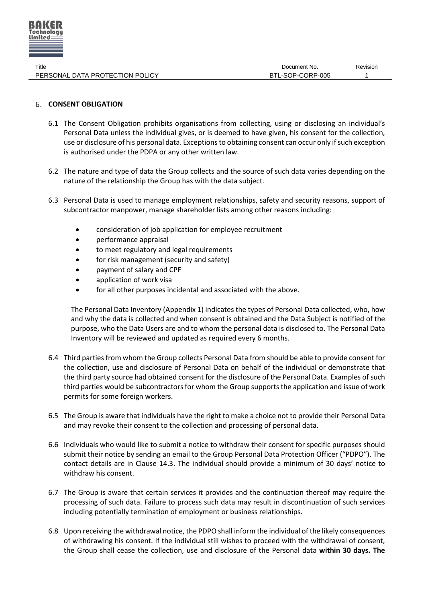

# <span id="page-4-0"></span>**CONSENT OBLIGATION**

- 6.1 The Consent Obligation prohibits organisations from collecting, using or disclosing an individual's Personal Data unless the individual gives, or is deemed to have given, his consent for the collection, use or disclosure of his personal data. Exceptions to obtaining consent can occur only if such exception is authorised under the PDPA or any other written law.
- 6.2 The nature and type of data the Group collects and the source of such data varies depending on the nature of the relationship the Group has with the data subject.
- 6.3 Personal Data is used to manage employment relationships, safety and security reasons, support of subcontractor manpower, manage shareholder lists among other reasons including:
	- consideration of job application for employee recruitment
	- performance appraisal
	- to meet regulatory and legal requirements
	- for risk management (security and safety)
	- payment of salary and CPF
	- application of work visa
	- for all other purposes incidental and associated with the above.

The Personal Data Inventory (Appendix 1) indicates the types of Personal Data collected, who, how and why the data is collected and when consent is obtained and the Data Subject is notified of the purpose, who the Data Users are and to whom the personal data is disclosed to. The Personal Data Inventory will be reviewed and updated as required every 6 months.

- 6.4 Third parties from whom the Group collects Personal Data from should be able to provide consent for the collection, use and disclosure of Personal Data on behalf of the individual or demonstrate that the third party source had obtained consent for the disclosure of the Personal Data. Examples of such third parties would be subcontractors for whom the Group supports the application and issue of work permits for some foreign workers.
- 6.5 The Group is aware that individuals have the right to make a choice not to provide their Personal Data and may revoke their consent to the collection and processing of personal data.
- 6.6 Individuals who would like to submit a notice to withdraw their consent for specific purposes should submit their notice by sending an email to the Group Personal Data Protection Officer ("PDPO"). The contact details are in Clause [14.3](#page-9-2). The individual should provide a minimum of 30 days' notice to withdraw his consent.
- 6.7 The Group is aware that certain services it provides and the continuation thereof may require the processing of such data. Failure to process such data may result in discontinuation of such services including potentially termination of employment or business relationships.
- 6.8 Upon receiving the withdrawal notice, the PDPO shall inform the individual of the likely consequences of withdrawing his consent. If the individual still wishes to proceed with the withdrawal of consent, the Group shall cease the collection, use and disclosure of the Personal data **within 30 days. The**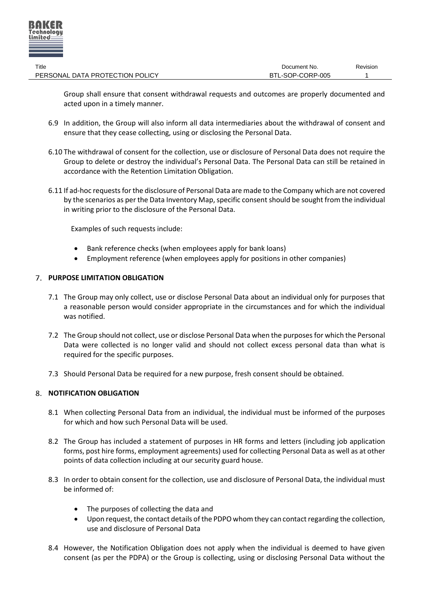

| Title                           | Document No.     | Revision |
|---------------------------------|------------------|----------|
| PERSONAL DATA PROTECTION POLICY | BTL-SOP-CORP-005 |          |

Group shall ensure that consent withdrawal requests and outcomes are properly documented and acted upon in a timely manner.

- 6.9 In addition, the Group will also inform all data intermediaries about the withdrawal of consent and ensure that they cease collecting, using or disclosing the Personal Data.
- 6.10 The withdrawal of consent for the collection, use or disclosure of Personal Data does not require the Group to delete or destroy the individual's Personal Data. The Personal Data can still be retained in accordance with the Retention Limitation Obligation.
- 6.11 If ad-hoc requests for the disclosure of Personal Data are made to the Company which are not covered by the scenarios as per the Data Inventory Map, specific consent should be sought from the individual in writing prior to the disclosure of the Personal Data.

Examples of such requests include:

- Bank reference checks (when employees apply for bank loans)
- Employment reference (when employees apply for positions in other companies)

# <span id="page-5-0"></span>**PURPOSE LIMITATION OBLIGATION**

- 7.1 The Group may only collect, use or disclose Personal Data about an individual only for purposes that a reasonable person would consider appropriate in the circumstances and for which the individual was notified.
- 7.2 The Group should not collect, use or disclose Personal Data when the purposes for which the Personal Data were collected is no longer valid and should not collect excess personal data than what is required for the specific purposes.
- 7.3 Should Personal Data be required for a new purpose, fresh consent should be obtained.

# <span id="page-5-1"></span>**8. NOTIFICATION OBLIGATION**

- 8.1 When collecting Personal Data from an individual, the individual must be informed of the purposes for which and how such Personal Data will be used.
- 8.2 The Group has included a statement of purposes in HR forms and letters (including job application forms, post hire forms, employment agreements) used for collecting Personal Data as well as at other points of data collection including at our security guard house.
- 8.3 In order to obtain consent for the collection, use and disclosure of Personal Data, the individual must be informed of:
	- The purposes of collecting the data and
	- Upon request, the contact details of the PDPO whom they can contact regarding the collection, use and disclosure of Personal Data
- 8.4 However, the Notification Obligation does not apply when the individual is deemed to have given consent (as per the PDPA) or the Group is collecting, using or disclosing Personal Data without the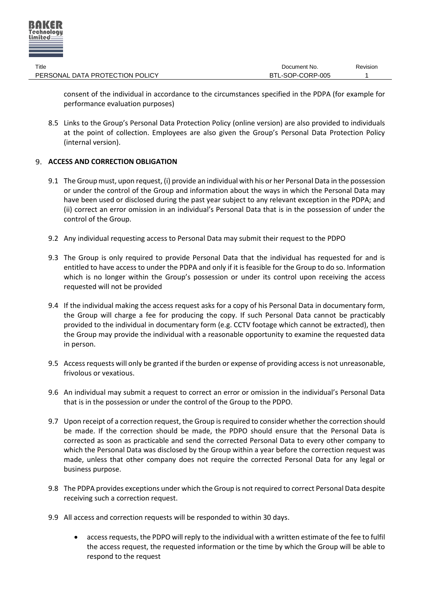

| Title                           | Document No.     | Revision |
|---------------------------------|------------------|----------|
| PERSONAL DATA PROTECTION POLICY | BTL-SOP-CORP-005 |          |

consent of the individual in accordance to the circumstances specified in the PDPA (for example for performance evaluation purposes)

8.5 Links to the Group's Personal Data Protection Policy (online version) are also provided to individuals at the point of collection. Employees are also given the Group's Personal Data Protection Policy (internal version).

# <span id="page-6-0"></span>**ACCESS AND CORRECTION OBLIGATION**

- 9.1 The Group must, upon request, (i) provide an individual with his or her Personal Data in the possession or under the control of the Group and information about the ways in which the Personal Data may have been used or disclosed during the past year subject to any relevant exception in the PDPA; and (ii) correct an error omission in an individual's Personal Data that is in the possession of under the control of the Group.
- 9.2 Any individual requesting access to Personal Data may submit their request to the PDPO
- 9.3 The Group is only required to provide Personal Data that the individual has requested for and is entitled to have access to under the PDPA and only if it is feasible for the Group to do so. Information which is no longer within the Group's possession or under its control upon receiving the access requested will not be provided
- 9.4 If the individual making the access request asks for a copy of his Personal Data in documentary form, the Group will charge a fee for producing the copy. If such Personal Data cannot be practicably provided to the individual in documentary form (e.g. CCTV footage which cannot be extracted), then the Group may provide the individual with a reasonable opportunity to examine the requested data in person.
- 9.5 Access requests will only be granted if the burden or expense of providing access is not unreasonable, frivolous or vexatious.
- 9.6 An individual may submit a request to correct an error or omission in the individual's Personal Data that is in the possession or under the control of the Group to the PDPO.
- 9.7 Upon receipt of a correction request, the Group is required to consider whether the correction should be made. If the correction should be made, the PDPO should ensure that the Personal Data is corrected as soon as practicable and send the corrected Personal Data to every other company to which the Personal Data was disclosed by the Group within a year before the correction request was made, unless that other company does not require the corrected Personal Data for any legal or business purpose.
- 9.8 The PDPA provides exceptions under which the Group is not required to correct Personal Data despite receiving such a correction request.
- 9.9 All access and correction requests will be responded to within 30 days.
	- access requests, the PDPO will reply to the individual with a written estimate of the fee to fulfil the access request, the requested information or the time by which the Group will be able to respond to the request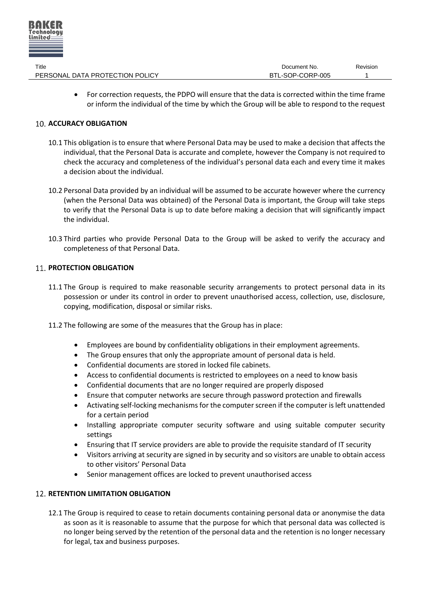

| Title                           | Document No.     | Revision |
|---------------------------------|------------------|----------|
| PERSONAL DATA PROTECTION POLICY | BTL-SOP-CORP-005 |          |

 For correction requests, the PDPO will ensure that the data is corrected within the time frame or inform the individual of the time by which the Group will be able to respond to the request

# <span id="page-7-0"></span>**10. ACCURACY OBLIGATION**

- 10.1 This obligation is to ensure that where Personal Data may be used to make a decision that affects the individual, that the Personal Data is accurate and complete, however the Company is not required to check the accuracy and completeness of the individual's personal data each and every time it makes a decision about the individual.
- 10.2 Personal Data provided by an individual will be assumed to be accurate however where the currency (when the Personal Data was obtained) of the Personal Data is important, the Group will take steps to verify that the Personal Data is up to date before making a decision that will significantly impact the individual.
- 10.3 Third parties who provide Personal Data to the Group will be asked to verify the accuracy and completeness of that Personal Data.

# <span id="page-7-1"></span>**PROTECTION OBLIGATION**

- 11.1 The Group is required to make reasonable security arrangements to protect personal data in its possession or under its control in order to prevent unauthorised access, collection, use, disclosure, copying, modification, disposal or similar risks.
- 11.2 The following are some of the measures that the Group has in place:
	- Employees are bound by confidentiality obligations in their employment agreements.
	- The Group ensures that only the appropriate amount of personal data is held.
	- Confidential documents are stored in locked file cabinets.
	- Access to confidential documents is restricted to employees on a need to know basis
	- Confidential documents that are no longer required are properly disposed
	- Ensure that computer networks are secure through password protection and firewalls
	- Activating self-locking mechanisms for the computer screen if the computer is left unattended for a certain period
	- Installing appropriate computer security software and using suitable computer security settings
	- Ensuring that IT service providers are able to provide the requisite standard of IT security
	- Visitors arriving at security are signed in by security and so visitors are unable to obtain access to other visitors' Personal Data
	- Senior management offices are locked to prevent unauthorised access

# <span id="page-7-2"></span>**12. RETENTION LIMITATION OBLIGATION**

12.1 The Group is required to cease to retain documents containing personal data or anonymise the data as soon as it is reasonable to assume that the purpose for which that personal data was collected is no longer being served by the retention of the personal data and the retention is no longer necessary for legal, tax and business purposes.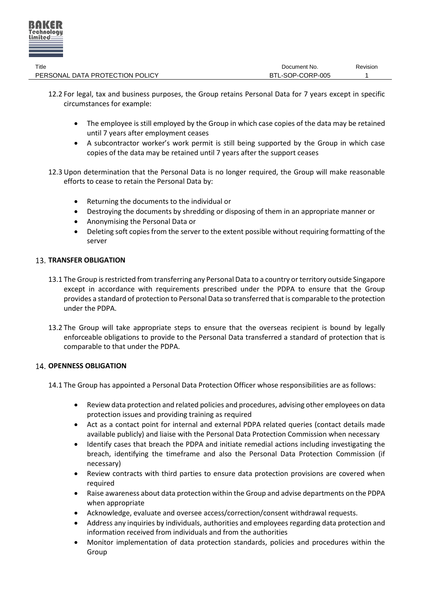

| Title                           | Document No.     | Revision |
|---------------------------------|------------------|----------|
| PERSONAL DATA PROTECTION POLICY | BTL-SOP-CORP-005 |          |

- 12.2 For legal, tax and business purposes, the Group retains Personal Data for 7 years except in specific circumstances for example:
	- The employee is still employed by the Group in which case copies of the data may be retained until 7 years after employment ceases
	- A subcontractor worker's work permit is still being supported by the Group in which case copies of the data may be retained until 7 years after the support ceases
- 12.3 Upon determination that the Personal Data is no longer required, the Group will make reasonable efforts to cease to retain the Personal Data by:
	- Returning the documents to the individual or
	- Destroying the documents by shredding or disposing of them in an appropriate manner or
	- Anonymising the Personal Data or
	- Deleting soft copies from the server to the extent possible without requiring formatting of the server

# <span id="page-8-0"></span>**TRANSFER OBLIGATION**

- 13.1 The Group is restricted from transferring any Personal Data to a country or territory outside Singapore except in accordance with requirements prescribed under the PDPA to ensure that the Group provides a standard of protection to Personal Data so transferred that is comparable to the protection under the PDPA.
- 13.2 The Group will take appropriate steps to ensure that the overseas recipient is bound by legally enforceable obligations to provide to the Personal Data transferred a standard of protection that is comparable to that under the PDPA.

# <span id="page-8-1"></span>**14. OPENNESS OBLIGATION**

14.1 The Group has appointed a Personal Data Protection Officer whose responsibilities are as follows:

- Review data protection and related policies and procedures, advising other employees on data protection issues and providing training as required
- Act as a contact point for internal and external PDPA related queries (contact details made available publicly) and liaise with the Personal Data Protection Commission when necessary
- Identify cases that breach the PDPA and initiate remedial actions including investigating the breach, identifying the timeframe and also the Personal Data Protection Commission (if necessary)
- Review contracts with third parties to ensure data protection provisions are covered when required
- Raise awareness about data protection within the Group and advise departments on the PDPA when appropriate
- Acknowledge, evaluate and oversee access/correction/consent withdrawal requests.
- Address any inquiries by individuals, authorities and employees regarding data protection and information received from individuals and from the authorities
- Monitor implementation of data protection standards, policies and procedures within the Group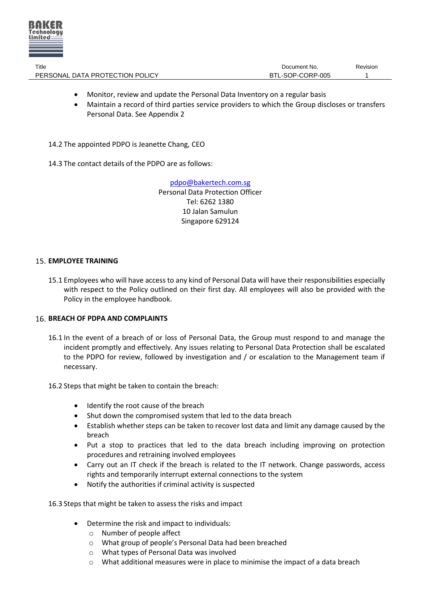

| Title                           | Document No.     | Revision |
|---------------------------------|------------------|----------|
| PERSONAL DATA PROTECTION POLICY | BTL-SOP-CORP-005 |          |

- Monitor, review and update the Personal Data Inventory on a regular basis
- Maintain a record of third parties service providers to which the Group discloses or transfers Personal Data. See Appendix 2

14.2 The appointed PDPO is Jeanette Chang, CEO

<span id="page-9-2"></span>14.3 The contact details of the PDPO are as follows:

[pdpo@bakertech.com.sg](mailto:pdpo@bakertech.com.sg) Personal Data Protection Officer Tel: 6262 1380 10 Jalan Samulun Singapore 629124

# <span id="page-9-0"></span>**EMPLOYEE TRAINING**

15.1 Employees who will have access to any kind of Personal Data will have their responsibilities especially with respect to the Policy outlined on their first day. All employees will also be provided with the Policy in the employee handbook.

# <span id="page-9-1"></span>**BREACH OF PDPA AND COMPLAINTS**

- 16.1 In the event of a breach of or loss of Personal Data, the Group must respond to and manage the incident promptly and effectively. Any issues relating to Personal Data Protection shall be escalated to the PDPO for review, followed by investigation and / or escalation to the Management team if necessary.
- 16.2 Steps that might be taken to contain the breach:
	- Identify the root cause of the breach
	- Shut down the compromised system that led to the data breach
	- Establish whether steps can be taken to recover lost data and limit any damage caused by the breach
	- Put a stop to practices that led to the data breach including improving on protection procedures and retraining involved employees
	- Carry out an IT check if the breach is related to the IT network. Change passwords, access rights and temporarily interrupt external connections to the system
	- Notify the authorities if criminal activity is suspected

16.3 Steps that might be taken to assess the risks and impact

- Determine the risk and impact to individuals:
	- o Number of people affect
	- o What group of people's Personal Data had been breached
	- o What types of Personal Data was involved
	- $\circ$  What additional measures were in place to minimise the impact of a data breach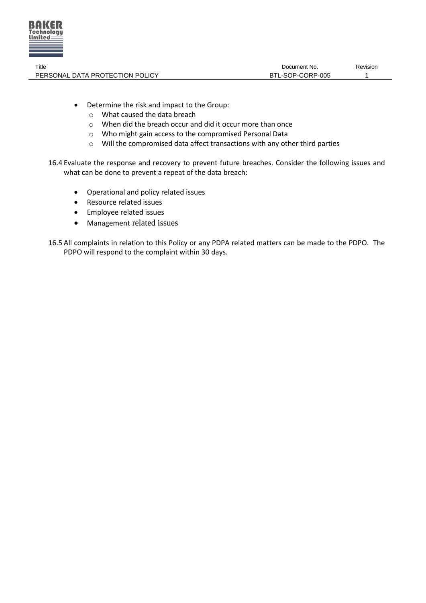

- Determine the risk and impact to the Group:
	- o What caused the data breach
	- o When did the breach occur and did it occur more than once
	- o Who might gain access to the compromised Personal Data
	- o Will the compromised data affect transactions with any other third parties
- 16.4 Evaluate the response and recovery to prevent future breaches. Consider the following issues and what can be done to prevent a repeat of the data breach:
	- Operational and policy related issues
	- Resource related issues
	- Employee related issues
	- Management related issues
- 16.5 All complaints in relation to this Policy or any PDPA related matters can be made to the PDPO. The PDPO will respond to the complaint within 30 days.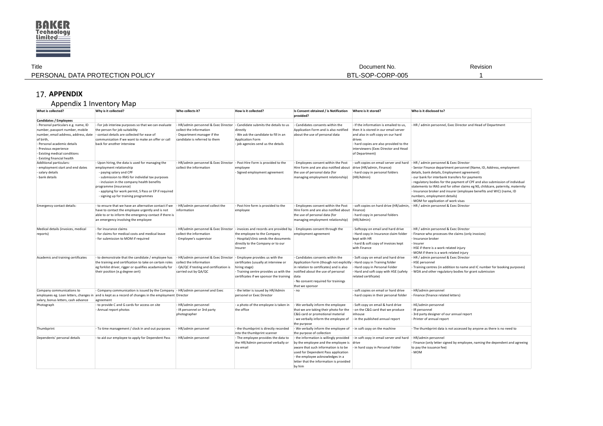

| Title                           | Document No.     | Revision |
|---------------------------------|------------------|----------|
| PERSONAL DATA PROTECTION POLICY | BTL-SOP-CORP-005 |          |

# **APPENDIX**

# Appendix 1 Inventory Map

<span id="page-11-0"></span>

| What is collected?                                                                                                                                                                                                                                   | Why is it collected?                                                                                                                                                                                                                                                                                                              | Who collects it?                                                                                                                   | How is it collected?                                                                                                                                                                                                                  | Is Consent obtained / is Notification<br>provided?                                                                                                                                                                                                           | Where is it stored?                                                                                                                                                                                                                | Who is it disclosed to?                                                                                                                                                                                                                                                                                                                                                                                                                                                                                                                                                   |
|------------------------------------------------------------------------------------------------------------------------------------------------------------------------------------------------------------------------------------------------------|-----------------------------------------------------------------------------------------------------------------------------------------------------------------------------------------------------------------------------------------------------------------------------------------------------------------------------------|------------------------------------------------------------------------------------------------------------------------------------|---------------------------------------------------------------------------------------------------------------------------------------------------------------------------------------------------------------------------------------|--------------------------------------------------------------------------------------------------------------------------------------------------------------------------------------------------------------------------------------------------------------|------------------------------------------------------------------------------------------------------------------------------------------------------------------------------------------------------------------------------------|---------------------------------------------------------------------------------------------------------------------------------------------------------------------------------------------------------------------------------------------------------------------------------------------------------------------------------------------------------------------------------------------------------------------------------------------------------------------------------------------------------------------------------------------------------------------------|
| <b>Candidates / Employees</b>                                                                                                                                                                                                                        |                                                                                                                                                                                                                                                                                                                                   |                                                                                                                                    |                                                                                                                                                                                                                                       |                                                                                                                                                                                                                                                              |                                                                                                                                                                                                                                    |                                                                                                                                                                                                                                                                                                                                                                                                                                                                                                                                                                           |
| - Personal particulars e.g. name, ID<br>number, passport number, mobile<br>number, email address, address, date<br>of birth,<br>- Personal academic details<br>- Previous experience<br>- Existing medical conditions<br>- Existing financial health | - For job interiew purposes so that we can evaluate<br>the person for job suitability<br>- contact details are collected for ease of<br>communication if we want to make an offer or call<br>back for another interview                                                                                                           | - HR/admin personnel & Exec Director<br>collect the information<br>- Department manager if the<br>candidate is referred to them    | - Candidate submits the details to us<br>directly<br>- We ask the candidate to fill in an<br><b>Application Form</b><br>job agencies send us the details                                                                              | Candidates consents within the<br>Application Form and is also notified<br>about the use of personal data                                                                                                                                                    | - If the information is emailed to us.<br>then it is stored in our email server<br>and also in soft copy on our hard<br>drives<br>- hard copies are also provided to the<br>interviewers (Exec Director and Head<br>of Department) | - HR / admin personnel, Exec Director and Head of Department                                                                                                                                                                                                                                                                                                                                                                                                                                                                                                              |
| Additional particulars:<br>- employment start and end dates<br>- salary details<br>bank details                                                                                                                                                      | - Upon hiring, the data is used for managing the<br>employment relationship<br>- paying salary and CPF<br>- submission to IRAS for individial tax purposes<br>- inclusion in the company health benefits<br>programme (insurance)<br>- applying for work permit, S Pass or EP if required<br>- signing up for training programmes | - HR/admin personnel & Exec Director - Post Hire Form is provided to the<br>collect the information                                | employee<br>- Signed employment agreement                                                                                                                                                                                             | - Employees consent within the Post<br>Hire Form and are also notified about<br>the use of personal data (for<br>managing employment relationship)                                                                                                           | drive (HR/admin, Finance)<br>- hard copy in personal folders<br>(HR/Admin)                                                                                                                                                         | - soft copies on email server and hard - HR / admin personnel & Exec Director<br>- Senior Finance department personnel (Name, ID, Address, employment<br>details, bank details, Employment agreement)<br>- our bank for interbank transfers for payments<br>- regulatory bodies for the payment of CPF and also submission of individual<br>statements to IRAS and for other claims eg NS, childcare, paternity, maternity<br>- Insurance broker and insurer (employee benefits and WIC) (name, ID<br>numbers, employment details)<br>- MOM for application of work visas |
| Emergency contact details:                                                                                                                                                                                                                           | - to ensure that we have an alternative contact if we<br>have to contact the employee urgently and is not<br>able to or to inform the emergency contact if there is<br>an emergency involving the employee                                                                                                                        | - HR/admin personnel collect the<br>information                                                                                    | - Post hire form is provided to the<br>employee                                                                                                                                                                                       | - Employees consent within the Post<br>Hire Form and are also notified about Finance)<br>the use of personal data (for<br>managing employment relationship)                                                                                                  | - soft copies on hard drive (HR/admin,<br>- hard copy in personal folders<br>(HR/Admin)                                                                                                                                            | - HR / admin personnel & Exec Director                                                                                                                                                                                                                                                                                                                                                                                                                                                                                                                                    |
| Medical details (invoices, medical<br>reports)                                                                                                                                                                                                       | - for insurance claims<br>- for claims for medical costs and medical leave<br>- for submission to MOM if required                                                                                                                                                                                                                 | collect the information<br>- Employee's supervisor                                                                                 | - HR/admin personnel & Exec Director  - invoices and records are provided by  - Employees consent through the<br>the employee to the Company<br>- Hospital/clinic sends the documents<br>directly to the Company or to our<br>Insurer | employment agreement                                                                                                                                                                                                                                         | - Softcopy on email and hard drive<br>- Hard copy in Insurance claim folder<br>kept with HR<br>- hard & soft copy of invoices kept<br>with Finance                                                                                 | - HR / admin personnel & Exec Director<br>- Finance who processes the claims (only invoices)<br>- Insurance broker<br>- Insurer<br>- HSE if there is a work related injury<br>- MOM if there is a work related injury                                                                                                                                                                                                                                                                                                                                                     |
| Academic and training certificates                                                                                                                                                                                                                   | - to demonstrate that the candidate / employee has<br>the training and certification to take on certain roles<br>eg forklist driver, rigger or qualifies acadamically for<br>their position (e.g degree cert)                                                                                                                     | - HR/admin personnel & Exec Director<br>collect the information<br>- QA/QC if testing and certification is<br>carried out by QA/QC | - Employee provides us with the<br>certificates (usually at interview or<br>hiring stage)<br>- Training centre provides us with the notified about the use of personal<br>certificates if we sponsor the training data                | - Candidates consents within the<br>Application Form (though not explicitly - Hard copy in Training folder<br>in relation to certificates) and is also<br>- No consent required for trainings<br>that we sponsor                                             | - Soft copy on email and hard drive<br>- Hard copy in Personal Folder<br>- Hard and soft copy with HSE (safety<br>related certificate)                                                                                             | - HR / admin personnel & Exec Director<br>- HSE personnel<br>- Training centres (in addition to name and IC number for booking purposes)<br>- WDA and other regulatory bodies for grant submission                                                                                                                                                                                                                                                                                                                                                                        |
| Company communications to                                                                                                                                                                                                                            | - Company communication is issued by the Company - HR/admin personnel and Exec                                                                                                                                                                                                                                                    |                                                                                                                                    | - the letter is issued by HR/Admin                                                                                                                                                                                                    | - no                                                                                                                                                                                                                                                         | - soft copies on email or hard drive                                                                                                                                                                                               | - HR/admin personnel                                                                                                                                                                                                                                                                                                                                                                                                                                                                                                                                                      |
| salary, bonus letters, cash advance                                                                                                                                                                                                                  | employees eg. Loan letters, changes in and is kept as a record of changes in the employment Director<br>agreement                                                                                                                                                                                                                 |                                                                                                                                    | personel or Exec Director                                                                                                                                                                                                             |                                                                                                                                                                                                                                                              | - hard copies in their personal folder                                                                                                                                                                                             | - Finance (finance related letters)                                                                                                                                                                                                                                                                                                                                                                                                                                                                                                                                       |
| Photograph                                                                                                                                                                                                                                           | - to provide C and G cards for access on site<br>- Annual report photos                                                                                                                                                                                                                                                           | - HR/admin personnel<br>- IR personnel or 3rd party<br>photographer                                                                | - a photo of the employee is taken in<br>the office                                                                                                                                                                                   | - We verbally inform the employee<br>that we are taking their photo for the<br>C&G card or promotional material<br>- we verbally inform the employee of<br>the purpose                                                                                       | - Soft copy on email & hard drive<br>- on the C&G card that we produce<br>inhouse<br>- in the published annual report                                                                                                              | - HE/admin personnel<br>- IR personnel<br>- 3rd party designer of our annual report<br>- Printer of annual report                                                                                                                                                                                                                                                                                                                                                                                                                                                         |
| Thumbprint                                                                                                                                                                                                                                           | - To time management / clock in and out purposes                                                                                                                                                                                                                                                                                  | - HR/admin personnel                                                                                                               | - the thumbprint is directly recorded<br>into the thumbprint scanner                                                                                                                                                                  | - We verbally inform the employee of  - in soft copy on the machine<br>the purpose of collection                                                                                                                                                             |                                                                                                                                                                                                                                    | - The thumbprint data is not accessed by anyone as there is no need to                                                                                                                                                                                                                                                                                                                                                                                                                                                                                                    |
| Dependents' personal details                                                                                                                                                                                                                         | - to aid our employee to apply for Dependent Pass                                                                                                                                                                                                                                                                                 | - HR/admin personnel                                                                                                               | - The employee provides the data to<br>the HR/Admin personnel verbally or<br>via email                                                                                                                                                | - the information is willingly provided<br>by the employee and the employee is drive<br>aware that such information is to be<br>used for Dependent Pass application<br>- the employee acknowledges in a<br>letter that the information is provided<br>by him | - in soft copy in email server and hard<br>- in hard copy in Personal Folder                                                                                                                                                       | - HR/admin personnel<br>- Finance (only letter signed by employee, naming the dependent and agreeing<br>to pay the issuance fee)<br>- MOM                                                                                                                                                                                                                                                                                                                                                                                                                                 |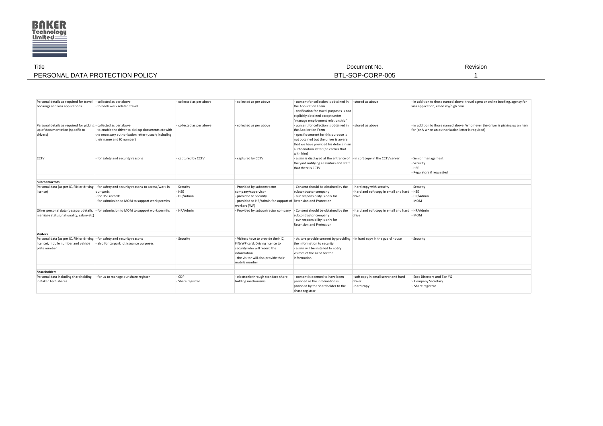

| Title                           | Document No.         | Revision |
|---------------------------------|----------------------|----------|
| PERSONAL DATA PROTECTION POLICY | -SOP-CORP-005<br>BTI |          |
|                                 |                      |          |

| Personal details as required for travel<br>bookings and visa applications                                         | - collected as per above<br>- to book work related travel                                                                                 | - collected as per above | - collected as per above                                                                                                                 | - consent for collection is obtained in - stored as above<br>the Application Form<br>- notification for travel purposes is not<br>explicitly obtained except under<br>"manage employment relationship"                                             |                                                 | - in addition to those named above: travel agent or online booking, agency for<br>visa application, embassy/high com                 |
|-------------------------------------------------------------------------------------------------------------------|-------------------------------------------------------------------------------------------------------------------------------------------|--------------------------|------------------------------------------------------------------------------------------------------------------------------------------|----------------------------------------------------------------------------------------------------------------------------------------------------------------------------------------------------------------------------------------------------|-------------------------------------------------|--------------------------------------------------------------------------------------------------------------------------------------|
| Personal details as required for picking - collected as per above<br>up of documentation (specific to<br>drivers) | - to enable the driver to pick up documents etc with<br>the necessary authorisation letter (usualy including<br>their name and IC number) | - collected as per above | - collected as per above                                                                                                                 | - consent for collection is obtained in<br>the Application Form<br>- specific consent for this purpose is<br>not obtained but the driver is aware<br>that we have provided his details in an<br>authorisation letter (he carries that<br>with him) | - stored as above                               | - in addition to those named above: Whomever the driver is picking up an item<br>for (only when an authorisation letter is required) |
| <b>CCTV</b>                                                                                                       | - for safety and security reasons                                                                                                         | - captured by CCTV       | - captured by CCTV                                                                                                                       | - a sign is displayed at the entrance of - in soft copy in the CCTV server<br>the yard notifying all visitors and staff<br>that there is CCTV                                                                                                      |                                                 | - Senior management<br>- Security<br>HSE<br>Regulators if requested                                                                  |
| <b>Subcontractors</b>                                                                                             |                                                                                                                                           |                          |                                                                                                                                          |                                                                                                                                                                                                                                                    |                                                 |                                                                                                                                      |
|                                                                                                                   | Personal data (as per IC, FIN or driving - for safety and security reasons to access/work in                                              | - Security               | - Provided by subcontractor                                                                                                              | - Consent should be obtained by the                                                                                                                                                                                                                | - hard copy with security                       | - Security                                                                                                                           |
| licence)                                                                                                          | our yards<br>- for HSE records<br>- for submission to MOM to support work permits                                                         | <b>HSE</b><br>- HR/Admin | company/supervisor<br>provided to security<br>- provided to HR/Admin for support of Retension and Protection<br>workers (WP)             | subcontractor company<br>- our responsibility is only for                                                                                                                                                                                          | - hard and soft copy in email and hard<br>drive | · HSE<br>HR/Admin<br>MOM-                                                                                                            |
| marriage status, nationality, salary etc)                                                                         | Other personal data (passport details, - for submission to MOM to support work permits                                                    | - HR/Admin               | - Provided by subcontractor company                                                                                                      | - Consent should be obtained by the<br>subcontractor company<br>- our responsibility is only for<br><b>Retension and Protection</b>                                                                                                                | - hard and soft copy in email and hard<br>drive | - HR/Admin<br>MOM-                                                                                                                   |
| <b>Visitors</b>                                                                                                   |                                                                                                                                           |                          |                                                                                                                                          |                                                                                                                                                                                                                                                    |                                                 |                                                                                                                                      |
| Personal data (as per IC, FIN or driving - for safety and security reasons                                        |                                                                                                                                           | - Security               | - Visitors have to provide their IC,                                                                                                     | - visitors provide consent by providing - in hard copy in the guard house                                                                                                                                                                          |                                                 | - Security                                                                                                                           |
| licence), mobile number and vehicle<br>plate number                                                               | - also for carpark lot issuance purposes                                                                                                  |                          | FIN/WP card, Driving licence to<br>security who will record the<br>information<br>- the visitor will also provide their<br>mobile number | the information to security<br>- a sign will be installed to notify<br>visitors of the need for the<br>information                                                                                                                                 |                                                 |                                                                                                                                      |
|                                                                                                                   |                                                                                                                                           |                          |                                                                                                                                          |                                                                                                                                                                                                                                                    |                                                 |                                                                                                                                      |
| Shareholders                                                                                                      |                                                                                                                                           |                          |                                                                                                                                          |                                                                                                                                                                                                                                                    |                                                 |                                                                                                                                      |
| Personal data including shareholding                                                                              | for us to manage our share register                                                                                                       | - CDP                    | - electronic through standard share                                                                                                      | - consent is deemed to have been                                                                                                                                                                                                                   | - soft copy in email server and hard            | - Exec Directors and Tan YG                                                                                                          |
| in Baker Tech shares                                                                                              |                                                                                                                                           | - Share registrar        | holding mechanisms                                                                                                                       | provided as the information is<br>provided by the shareholder to the<br>share registrar                                                                                                                                                            | driver<br>- hard copy                           | '- Company Secretary<br>'- Share registrar                                                                                           |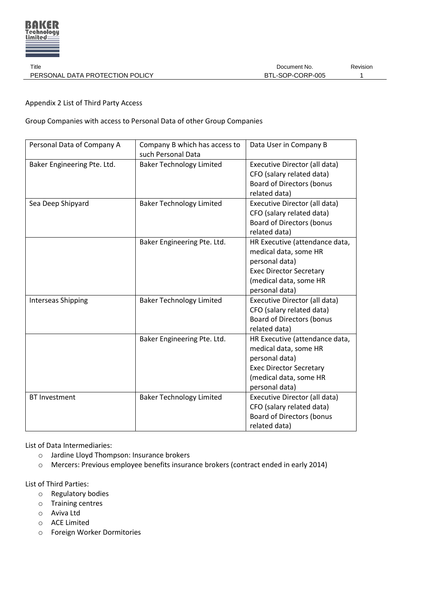

Appendix 2 List of Third Party Access

Group Companies with access to Personal Data of other Group Companies

| Personal Data of Company A  | Company B which has access to   | Data User in Company B           |
|-----------------------------|---------------------------------|----------------------------------|
|                             | such Personal Data              |                                  |
| Baker Engineering Pte. Ltd. | <b>Baker Technology Limited</b> | Executive Director (all data)    |
|                             |                                 | CFO (salary related data)        |
|                             |                                 | <b>Board of Directors (bonus</b> |
|                             |                                 | related data)                    |
| Sea Deep Shipyard           | <b>Baker Technology Limited</b> | Executive Director (all data)    |
|                             |                                 | CFO (salary related data)        |
|                             |                                 | <b>Board of Directors (bonus</b> |
|                             |                                 | related data)                    |
|                             | Baker Engineering Pte. Ltd.     | HR Executive (attendance data,   |
|                             |                                 | medical data, some HR            |
|                             |                                 | personal data)                   |
|                             |                                 | <b>Exec Director Secretary</b>   |
|                             |                                 | (medical data, some HR           |
|                             |                                 | personal data)                   |
| <b>Interseas Shipping</b>   | <b>Baker Technology Limited</b> | Executive Director (all data)    |
|                             |                                 | CFO (salary related data)        |
|                             |                                 | <b>Board of Directors (bonus</b> |
|                             |                                 | related data)                    |
|                             | Baker Engineering Pte. Ltd.     | HR Executive (attendance data,   |
|                             |                                 | medical data, some HR            |
|                             |                                 | personal data)                   |
|                             |                                 | <b>Exec Director Secretary</b>   |
|                             |                                 | (medical data, some HR           |
|                             |                                 | personal data)                   |
| <b>BT Investment</b>        | <b>Baker Technology Limited</b> | Executive Director (all data)    |
|                             |                                 | CFO (salary related data)        |
|                             |                                 | <b>Board of Directors (bonus</b> |
|                             |                                 | related data)                    |

List of Data Intermediaries:

- o Jardine Lloyd Thompson: Insurance brokers
- o Mercers: Previous employee benefits insurance brokers (contract ended in early 2014)

List of Third Parties:

- o Regulatory bodies
- o Training centres
- o Aviva Ltd
- o ACE Limited
- o Foreign Worker Dormitories